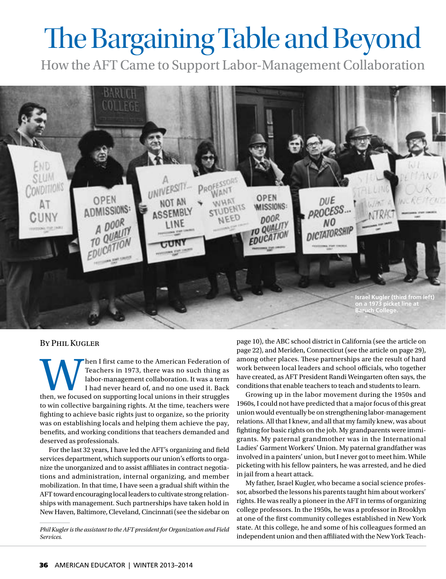## The Bargaining Table and Beyond

How the AFT Came to Support Labor-Management Collaboration



## By Phil Kugler

Then I first came to the American Federation of Teachers in 1973, there was no such thing as labor-management collaboration. It was a term I had never heard of, and no one used it. Back then, we focused on supporting local Teachers in 1973, there was no such thing as labor-management collaboration. It was a term I had never heard of, and no one used it. Back to win collective bargaining rights. At the time, teachers were fighting to achieve basic rights just to organize, so the priority was on establishing locals and helping them achieve the pay, benefits, and working conditions that teachers demanded and deserved as professionals.

For the last 32 years, I have led the AFT's organizing and field services department, which supports our union's efforts to organize the unorganized and to assist affiliates in contract negotiations and administration, internal organizing, and member mobilization. In that time, I have seen a gradual shift within the AFT toward encouraging local leaders to cultivate strong relationships with management. Such partnerships have taken hold in New Haven, Baltimore, Cleveland, Cincinnati (see the sidebar on

*Phil Kugler is the assistant to the AFT president for Organization and Field Services.*

[page 10](http://www.aft.org/pdfs/americaneducator/winter1314/Anrig.pdf#page=7)), the ABC school district in California (see the article on [page 22](http://www.aft.org/pdfs/americaneducator/winter1314/Rubinstein.pdf)), and Meriden, Connecticut (see the article on [page 29\)](http://www.aft.org/pdfs/americaneducator/winter1314/Dubin.pdf), among other places. These partnerships are the result of hard work between local leaders and school officials, who together have created, as AFT President Randi Weingarten often says, the conditions that enable teachers to teach and students to learn.

Growing up in the labor movement during the 1950s and 1960s, I could not have predicted that a major focus of this great union would eventually be on strengthening labor-management relations. All that I knew, and all that my family knew, was about fighting for basic rights on the job. My grandparents were immigrants. My paternal grandmother was in the International Ladies' Garment Workers' Union. My paternal grandfather was involved in a painters' union, but I never got to meet him. While picketing with his fellow painters, he was arrested, and he died in jail from a heart attack.

My father, Israel Kugler, who became a social science professor, absorbed the lessons his parents taught him about workers' rights. He was really a pioneer in the AFT in terms of organizing college professors. In the 1950s, he was a professor in Brooklyn at one of the first community colleges established in New York state. At this college, he and some of his colleagues formed an independent union and then affiliated with the New York Teach-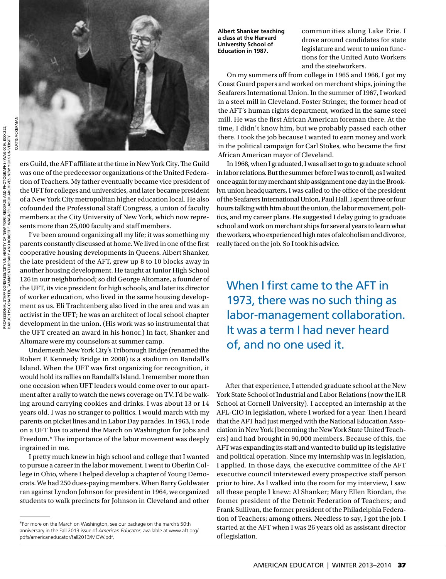

ers Guild, the AFT affiliate at the time in New York City. The Guild was one of the predecessor organizations of the United Federation of Teachers. My father eventually became vice president of the UFT for colleges and universities, and later became president of a New York City metropolitan higher education local. He also cofounded the Professional Staff Congress, a union of faculty members at the City University of New York, which now represents more than 25,000 faculty and staff members.

I've been around organizing all my life; it was something my parents constantly discussed at home. We lived in one of the first cooperative housing developments in Queens. Albert Shanker, the late president of the AFT, grew up 8 to 10 blocks away in another housing development. He taught at Junior High School 126 in our neighborhood; so did George Altomare, a founder of the UFT, its vice president for high schools, and later its director of worker education, who lived in the same housing development as us. Eli Trachtenberg also lived in the area and was an activist in the UFT; he was an architect of local school chapter development in the union. (His work was so instrumental that the UFT created an award in his honor.) In fact, Shanker and Altomare were my counselors at summer camp.

Underneath New York City's Triborough Bridge (renamed the Robert F. Kennedy Bridge in 2008) is a stadium on Randall's Island. When the UFT was first organizing for recognition, it would hold its rallies on Randall's Island. I remember more than one occasion when UFT leaders would come over to our apartment after a rally to watch the news coverage on TV. I'd be walking around carrying cookies and drinks. I was about 13 or 14 years old. I was no stranger to politics. I would march with my parents on picket lines and in Labor Day parades. In 1963, I rode on a UFT bus to attend the March on Washington for Jobs and Freedom.\* The importance of the labor movement was deeply ingrained in me.

I pretty much knew in high school and college that I wanted to pursue a career in the labor movement. I went to Oberlin College in Ohio, where I helped develop a chapter of Young Democrats. We had 250 dues-paying members. When Barry Goldwater ran against Lyndon Johnson for president in 1964, we organized students to walk precincts for Johnson in Cleveland and other **Albert Shanker teaching a class at the Harvard University School of Education in 1987.**

communities along Lake Erie. I drove around candidates for state legislature and went to union functions for the United Auto Workers and the steelworkers.

On my summers off from college in 1965 and 1966, I got my Coast Guard papers and worked on merchant ships, joining the Seafarers International Union. In the summer of 1967, I worked in a steel mill in Cleveland. Foster Stringer, the former head of the AFT's human rights department, worked in the same steel mill. He was the first African American foreman there. At the time, I didn't know him, but we probably passed each other there. I took the job because I wanted to earn money and work in the political campaign for Carl Stokes, who became the first African American mayor of Cleveland.

In 1968, when I graduated, I was all set to go to graduate school in labor relations. But the summer before I was to enroll, as I waited once again for my merchant ship assignment one day in the Brooklyn union headquarters, I was called to the office of the president of the Seafarers International Union, Paul Hall. I spent three or four hours talking with him about the union, the labor movement, politics, and my career plans. He suggested I delay going to graduate school and work on merchant ships for several years to learn what the workers, who experienced high rates of alcoholism and divorce, really faced on the job. So I took his advice.

When I first came to the AFT in 1973, there was no such thing as labor-management collaboration. It was a term I had never heard of, and no one used it.

After that experience, I attended graduate school at the New York State School of Industrial and Labor Relations (now the ILR School at Cornell University). I accepted an internship at the AFL-CIO in legislation, where I worked for a year. Then I heard that the AFT had just merged with the National Education Association in New York (becoming the New York State United Teachers) and had brought in 90,000 members. Because of this, the AFT was expanding its staff and wanted to build up its legislative and political operation. Since my internship was in legislation, I applied. In those days, the executive committee of the AFT executive council interviewed every prospective staff person prior to hire. As I walked into the room for my interview, I saw all these people I knew: Al Shanker; Mary Ellen Riordan, the former president of the Detroit Federation of Teachers; and Frank Sullivan, the former president of the Philadelphia Federation of Teachers; among others. Needless to say, I got the job. I started at the AFT when I was 26 years old as assistant director of legislation.

<sup>\*</sup>For more on the March on Washington, see our package on the march's 50th anniversary in the Fall 2013 issue of *American Educator*, available at www.aft.org/ [pdfs/americaneducator/fall2013/MOW.pdf.](www.aft.org/pdfs/americaneducator/fall2013/MOW.pdf)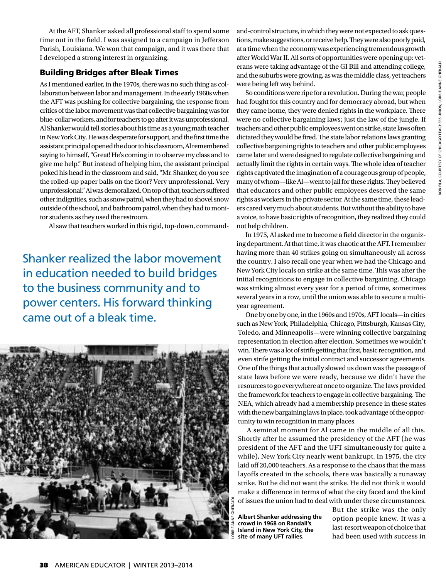OB FILA, COURTESY OF CHICAGO TEACHERS UNION; LORRIE ANNE GHERALDI BOB FILA, COURTESY OF CHICAGO TEACHERS UNION; LORRIE ANNE GHERALDI

At the AFT, Shanker asked all professional staff to spend some time out in the field. I was assigned to a campaign in Jefferson Parish, Louisiana. We won that campaign, and it was there that I developed a strong interest in organizing.

## Building Bridges after Bleak Times

As I mentioned earlier, in the 1970s, there was no such thing as collaboration between labor and management. In the early 1960s when the AFT was pushing for collective bargaining, the response from critics of the labor movement was that collective bargaining was for blue-collar workers, and for teachers to go after it was unprofessional. Al Shanker would tell stories about his time as a young math teacher in New York City. He was desperate for support, and the first time the assistant principal opened the door to his classroom, Al remembered saying to himself, "Great! He's coming in to observe my class and to give me help." But instead of helping him, the assistant principal poked his head in the classroom and said, "Mr. Shanker, do you see the rolled-up paper balls on the floor? Very unprofessional. Very unprofessional." Al was demoralized. On top of that, teachers suffered other indignities, such as snow patrol, when they had to shovel snow outside of the school, and bathroom patrol, when they had to monitor students as they used the restroom.

Al saw that teachers worked in this rigid, top-down, command-

Shanker realized the labor movement in education needed to build bridges to the business community and to power centers. His forward thinking came out of a bleak time.



and-control structure, in which they were not expected to ask questions, make suggestions, or receive help. They were also poorly paid, at a time when the economy was experiencing tremendous growth after World War II. All sorts of opportunities were opening up: veterans were taking advantage of the GI Bill and attending college, and the suburbs were growing, as was the middle class, yet teachers were being left way behind.

So conditions were ripe for a revolution. During the war, people had fought for this country and for democracy abroad, but when they came home, they were denied rights in the workplace. There were no collective bargaining laws; just the law of the jungle. If teachers and other public employees went on strike, state laws often dictated they would be fired. The state labor relations laws granting collective bargaining rights to teachers and other public employees came later and were designed to regulate collective bargaining and actually limit the rights in certain ways. The whole idea of teacher rights captivated the imagination of a courageous group of people, many of whom—like Al—went to jail for these rights. They believed that educators and other public employees deserved the same rights as workers in the private sector. At the same time, these leaders cared very much about students. But without the ability to have a voice, to have basic rights of recognition, they realized they could not help children.

In 1975, Al asked me to become a field director in the organizing department. At that time, it was chaotic at the AFT. I remember having more than 40 strikes going on simultaneously all across the country. I also recall one year when we had the Chicago and New York City locals on strike at the same time. This was after the initial recognitions to engage in collective bargaining. Chicago was striking almost every year for a period of time, sometimes several years in a row, until the union was able to secure a multiyear agreement.

One by one by one, in the 1960s and 1970s, AFT locals—in cities such as New York, Philadelphia, Chicago, Pittsburgh, Kansas City, Toledo, and Minneapolis—were winning collective bargaining representation in election after election. Sometimes we wouldn't win. There was a lot of strife getting that first, basic recognition, and even strife getting the initial contract and successor agreements. One of the things that actually slowed us down was the passage of state laws before we were ready, because we didn't have the resources to go everywhere at once to organize. The laws provided the framework for teachers to engage in collective bargaining. The NEA, which already had a membership presence in these states with the new bargaining laws in place, took advantage of the opportunity to win recognition in many places.

A seminal moment for Al came in the middle of all this. Shortly after he assumed the presidency of the AFT (he was president of the AFT and the UFT simultaneously for quite a while), New York City nearly went bankrupt. In 1975, the city laid off 20,000 teachers. As a response to the chaos that the mass layoffs created in the schools, there was basically a runaway strike. But he did not want the strike. He did not think it would make a difference in terms of what the city faced and the kind of issues the union had to deal with under these circumstances.

**Albert Shanker addressing the crowd in 1968 on Randall's Island in New York City, the site of many UFT rallies.** 

But the strike was the only option people knew. It was a last-resort weapon of choice that had been used with success in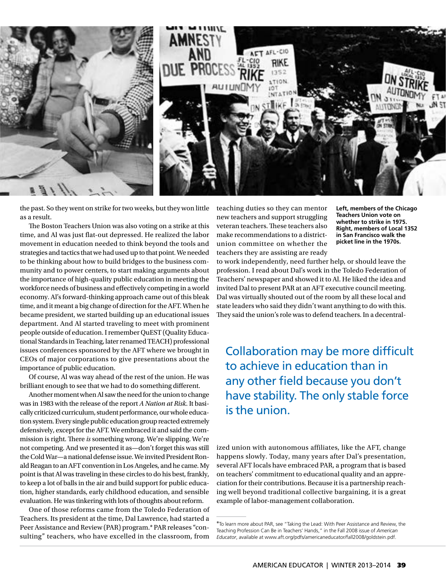

the past. So they went on strike for two weeks, but they won little as a result.

The Boston Teachers Union was also voting on a strike at this time, and Al was just flat-out depressed. He realized the labor movement in education needed to think beyond the tools and strategies and tactics that we had used up to that point. We needed to be thinking about how to build bridges to the business community and to power centers, to start making arguments about the importance of high-quality public education in meeting the workforce needs of business and effectively competing in a world economy. Al's forward-thinking approach came out of this bleak time, and it meant a big change of direction for the AFT. When he became president, we started building up an educational issues department. And Al started traveling to meet with prominent people outside of education. I remember QuEST (Quality Educational Standards in Teaching, later renamed TEACH) professional issues conferences sponsored by the AFT where we brought in CEOs of major corporations to give presentations about the importance of public education.

Of course, Al was way ahead of the rest of the union. He was brilliant enough to see that we had to do something different.

Another moment when Al saw the need for the union to change was in 1983 with the release of the report *A Nation at Risk*. It basically criticized curriculum, student performance, our whole education system. Every single public education group reacted extremely defensively, except for the AFT. We embraced it and said the commission is right. There *is* something wrong. We're slipping. We're not competing. And we presented it as—don't forget this was still the Cold War—a national defense issue. We invited President Ronald Reagan to an AFT convention in Los Angeles, and he came. My point is that Al was traveling in these circles to do his best, frankly, to keep a lot of balls in the air and build support for public education, higher standards, early childhood education, and sensible evaluation. He was tinkering with lots of thoughts about reform.

One of those reforms came from the Toledo Federation of Teachers. Its president at the time, Dal Lawrence, had started a Peer Assistance and Review (PAR) program.\* PAR releases "consulting" teachers, who have excelled in the classroom, from teaching duties so they can mentor new teachers and support struggling veteran teachers. These teachers also make recommendations to a districtunion committee on whether the teachers they are assisting are ready **Left, members of the Chicago Teachers Union vote on whether to strike in 1975. Right, members of Local 1352 in San Francisco walk the picket line in the 1970s.**

to work independently, need further help, or should leave the profession. I read about Dal's work in the Toledo Federation of Teachers' newspaper and showed it to Al. He liked the idea and invited Dal to present PAR at an AFT executive council meeting. Dal was virtually shouted out of the room by all these local and state leaders who said they didn't want anything to do with this. They said the union's role was to defend teachers. In a decentral-

Collaboration may be more difficult to achieve in education than in any other field because you don't have stability. The only stable force is the union.

ized union with autonomous affiliates, like the AFT, change happens slowly. Today, many years after Dal's presentation, several AFT locals have embraced PAR, a program that is based on teachers' commitment to educational quality and an appreciation for their contributions. Because it is a partnership reaching well beyond traditional collective bargaining, it is a great example of labor-management collaboration.

<sup>\*</sup>To learn more about PAR, see "Taking the Lead: With Peer Assistance and Review, the Teaching Profession Can Be in Teachers' Hands," in the Fall 2008 issue of *American Educator*, available at www.aft.org/pdfs/americaneducator/fall2008/goldstein.pdf.